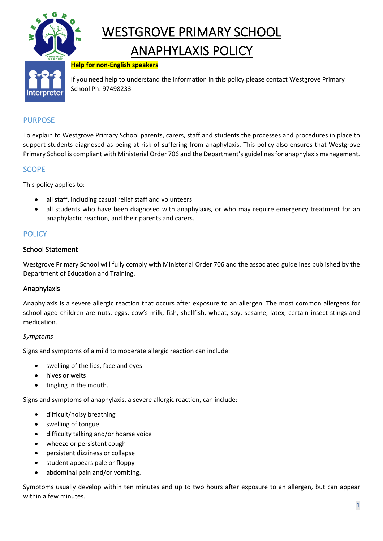

# WESTGROVE PRIMARY SCHOOL

# ANAPHYLAXIS POLICY

#### **Help for non-English speakers**

If you need help to understand the information in this policy please contact Westgrove Primary School Ph: 97498233

# PURPOSE

To explain to Westgrove Primary School parents, carers, staff and students the processes and procedures in place to support students diagnosed as being at risk of suffering from anaphylaxis. This policy also ensures that Westgrove Primary School is compliant with Ministerial Order 706 and the Department's guidelines for anaphylaxis management.

## SCOPE

This policy applies to:

- all staff, including casual relief staff and volunteers
- all students who have been diagnosed with anaphylaxis, or who may require emergency treatment for an anaphylactic reaction, and their parents and carers.

# **POLICY**

#### School Statement

Westgrove Primary School will fully comply with Ministerial Order 706 and the associated guidelines published by the Department of Education and Training.

#### Anaphylaxis

Anaphylaxis is a severe allergic reaction that occurs after exposure to an allergen. The most common allergens for school-aged children are nuts, eggs, cow's milk, fish, shellfish, wheat, soy, sesame, latex, certain insect stings and medication.

#### *Symptoms*

Signs and symptoms of a mild to moderate allergic reaction can include:

- swelling of the lips, face and eyes
- hives or welts
- tingling in the mouth.

Signs and symptoms of anaphylaxis, a severe allergic reaction, can include:

- difficult/noisy breathing
- swelling of tongue
- difficulty talking and/or hoarse voice
- wheeze or persistent cough
- persistent dizziness or collapse
- student appears pale or floppy
- abdominal pain and/or vomiting.

Symptoms usually develop within ten minutes and up to two hours after exposure to an allergen, but can appear within a few minutes.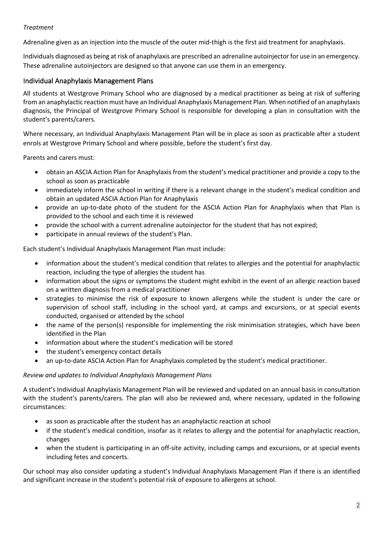#### *Treatment*

Adrenaline given as an injection into the muscle of the outer mid-thigh is the first aid treatment for anaphylaxis.

Individuals diagnosed as being at risk of anaphylaxis are prescribed an adrenaline autoinjector for use in an emergency. These adrenaline autoinjectors are designed so that anyone can use them in an emergency.

#### Individual Anaphylaxis Management Plans

All students at Westgrove Primary School who are diagnosed by a medical practitioner as being at risk of suffering from an anaphylactic reaction must have an Individual Anaphylaxis Management Plan. When notified of an anaphylaxis diagnosis, the Principal of Westgrove Primary School is responsible for developing a plan in consultation with the student's parents/carers.

Where necessary, an Individual Anaphylaxis Management Plan will be in place as soon as practicable after a student enrols at Westgrove Primary School and where possible, before the student's first day.

Parents and carers must:

- obtain an ASCIA Action Plan for Anaphylaxis from the student's medical practitioner and provide a copy to the school as soon as practicable
- immediately inform the school in writing if there is a relevant change in the student's medical condition and obtain an updated ASCIA Action Plan for Anaphylaxis
- provide an up-to-date photo of the student for the ASCIA Action Plan for Anaphylaxis when that Plan is provided to the school and each time it is reviewed
- provide the school with a current adrenaline autoinjector for the student that has not expired;
- participate in annual reviews of the student's Plan.

Each student's Individual Anaphylaxis Management Plan must include:

- information about the student's medical condition that relates to allergies and the potential for anaphylactic reaction, including the type of allergies the student has
- information about the signs or symptoms the student might exhibit in the event of an allergic reaction based on a written diagnosis from a medical practitioner
- strategies to minimise the risk of exposure to known allergens while the student is under the care or supervision of school staff, including in the school yard, at camps and excursions, or at special events conducted, organised or attended by the school
- the name of the person(s) responsible for implementing the risk minimisation strategies, which have been identified in the Plan
- information about where the student's medication will be stored
- the student's emergency contact details
- an up-to-date ASCIA Action Plan for Anaphylaxis completed by the student's medical practitioner.

#### *Review and updates to Individual Anaphylaxis Management Plans*

A student's Individual Anaphylaxis Management Plan will be reviewed and updated on an annual basis in consultation with the student's parents/carers. The plan will also be reviewed and, where necessary, updated in the following circumstances:

- as soon as practicable after the student has an anaphylactic reaction at school
- if the student's medical condition, insofar as it relates to allergy and the potential for anaphylactic reaction, changes
- when the student is participating in an off-site activity, including camps and excursions, or at special events including fetes and concerts.

Our school may also consider updating a student's Individual Anaphylaxis Management Plan if there is an identified and significant increase in the student's potential risk of exposure to allergens at school.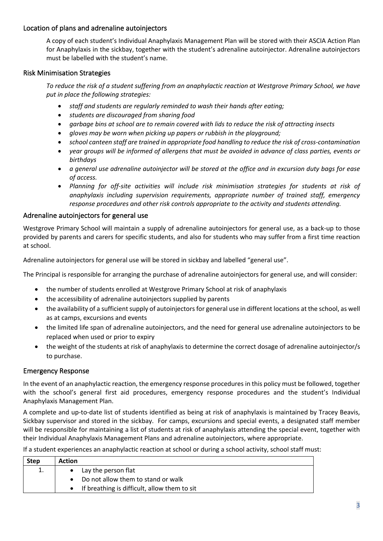#### Location of plans and adrenaline autoinjectors

A copy of each student's Individual Anaphylaxis Management Plan will be stored with their ASCIA Action Plan for Anaphylaxis in the sickbay, together with the student's adrenaline autoinjector. Adrenaline autoinjectors must be labelled with the student's name.

#### Risk Minimisation Strategies

*To reduce the risk of a student suffering from an anaphylactic reaction at Westgrove Primary School, we have put in place the following strategies:*

- *staff and students are regularly reminded to wash their hands after eating;*
- *students are discouraged from sharing food*
- *garbage bins at school are to remain covered with lids to reduce the risk of attracting insects*
- *gloves may be worn when picking up papers or rubbish in the playground;*
- *school canteen staff are trained in appropriate food handling to reduce the risk of cross-contamination*
- *year groups will be informed of allergens that must be avoided in advance of class parties, events or birthdays*
- *a general use adrenaline autoinjector will be stored at the office and in excursion duty bags for ease of access.*
- *Planning for off-site activities will include risk minimisation strategies for students at risk of anaphylaxis including supervision requirements, appropriate number of trained staff, emergency response procedures and other risk controls appropriate to the activity and students attending.*

#### Adrenaline autoinjectors for general use

Westgrove Primary School will maintain a supply of adrenaline autoinjectors for general use, as a back-up to those provided by parents and carers for specific students, and also for students who may suffer from a first time reaction at school.

Adrenaline autoinjectors for general use will be stored in sickbay and labelled "general use".

The Principal is responsible for arranging the purchase of adrenaline autoinjectors for general use, and will consider:

- the number of students enrolled at Westgrove Primary School at risk of anaphylaxis
- the accessibility of adrenaline autoinjectors supplied by parents
- the availability of a sufficient supply of autoinjectors for general use in different locations at the school, as well as at camps, excursions and events
- the limited life span of adrenaline autoinjectors, and the need for general use adrenaline autoinjectors to be replaced when used or prior to expiry
- the weight of the students at risk of anaphylaxis to determine the correct dosage of adrenaline autoinjector/s to purchase.

#### Emergency Response

In the event of an anaphylactic reaction, the emergency response procedures in this policy must be followed, together with the school's general first aid procedures, emergency response procedures and the student's Individual Anaphylaxis Management Plan.

A complete and up-to-date list of students identified as being at risk of anaphylaxis is maintained by Tracey Beavis, Sickbay supervisor and stored in the sickbay. For camps, excursions and special events, a designated staff member will be responsible for maintaining a list of students at risk of anaphylaxis attending the special event, together with their Individual Anaphylaxis Management Plans and adrenaline autoinjectors, where appropriate.

If a student experiences an anaphylactic reaction at school or during a school activity, school staff must:

| <b>Step</b> | <b>Action</b>                                |
|-------------|----------------------------------------------|
| 1.          | Lay the person flat                          |
|             | Do not allow them to stand or walk           |
|             | If breathing is difficult, allow them to sit |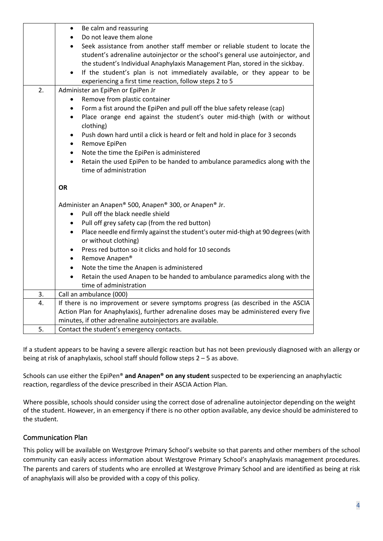|    | Be calm and reassuring<br>٠                                                                                            |  |  |
|----|------------------------------------------------------------------------------------------------------------------------|--|--|
|    | Do not leave them alone                                                                                                |  |  |
|    | Seek assistance from another staff member or reliable student to locate the                                            |  |  |
|    | student's adrenaline autoinjector or the school's general use autoinjector, and                                        |  |  |
|    | the student's Individual Anaphylaxis Management Plan, stored in the sickbay.                                           |  |  |
|    | If the student's plan is not immediately available, or they appear to be                                               |  |  |
|    | experiencing a first time reaction, follow steps 2 to 5                                                                |  |  |
| 2. | Administer an EpiPen or EpiPen Jr                                                                                      |  |  |
|    | Remove from plastic container                                                                                          |  |  |
|    | Form a fist around the EpiPen and pull off the blue safety release (cap)<br>٠                                          |  |  |
|    | Place orange end against the student's outer mid-thigh (with or without<br>٠<br>clothing)                              |  |  |
|    | Push down hard until a click is heard or felt and hold in place for 3 seconds<br>Remove EpiPen<br>٠                    |  |  |
|    | Note the time the EpiPen is administered<br>$\bullet$                                                                  |  |  |
|    | Retain the used EpiPen to be handed to ambulance paramedics along with the<br>time of administration                   |  |  |
|    | OR                                                                                                                     |  |  |
|    | Administer an Anapen® 500, Anapen® 300, or Anapen® Jr.                                                                 |  |  |
|    | Pull off the black needle shield<br>$\bullet$                                                                          |  |  |
|    | Pull off grey safety cap (from the red button)                                                                         |  |  |
|    | Place needle end firmly against the student's outer mid-thigh at 90 degrees (with<br>$\bullet$<br>or without clothing) |  |  |
|    | Press red button so it clicks and hold for 10 seconds<br>$\bullet$                                                     |  |  |
|    | Remove Anapen <sup>®</sup><br>$\bullet$                                                                                |  |  |
|    | Note the time the Anapen is administered<br>$\bullet$                                                                  |  |  |
|    | Retain the used Anapen to be handed to ambulance paramedics along with the<br>$\bullet$                                |  |  |
|    | time of administration                                                                                                 |  |  |
| 3. | Call an ambulance (000)                                                                                                |  |  |
| 4. | If there is no improvement or severe symptoms progress (as described in the ASCIA                                      |  |  |
|    | Action Plan for Anaphylaxis), further adrenaline doses may be administered every five                                  |  |  |
|    | minutes, if other adrenaline autoinjectors are available.                                                              |  |  |
| 5. | Contact the student's emergency contacts.                                                                              |  |  |

If a student appears to be having a severe allergic reaction but has not been previously diagnosed with an allergy or being at risk of anaphylaxis, school staff should follow steps 2 – 5 as above.

Schools can use either the EpiPen® **and Anapen® on any student** suspected to be experiencing an anaphylactic reaction, regardless of the device prescribed in their ASCIA Action Plan.

Where possible, schools should consider using the correct dose of adrenaline autoinjector depending on the weight of the student. However, in an emergency if there is no other option available, any device should be administered to the student.

#### Communication Plan

This policy will be available on Westgrove Primary School's website so that parents and other members of the school community can easily access information about Westgrove Primary School's anaphylaxis management procedures. The parents and carers of students who are enrolled at Westgrove Primary School and are identified as being at risk of anaphylaxis will also be provided with a copy of this policy.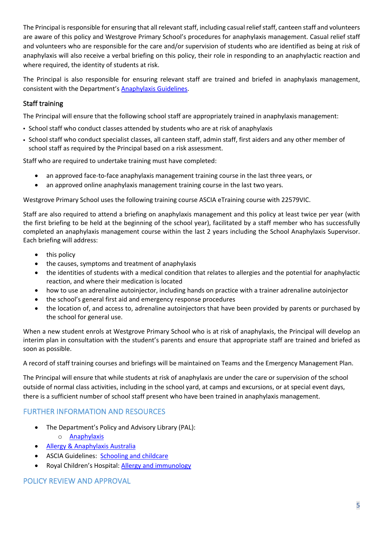The Principal is responsible for ensuring that all relevant staff, including casual relief staff, canteen staff and volunteers are aware of this policy and Westgrove Primary School's procedures for anaphylaxis management. Casual relief staff and volunteers who are responsible for the care and/or supervision of students who are identified as being at risk of anaphylaxis will also receive a verbal briefing on this policy, their role in responding to an anaphylactic reaction and where required, the identity of students at risk.

The Principal is also responsible for ensuring relevant staff are trained and briefed in anaphylaxis management, consistent with the Department's Anaphylaxis Guidelines.

## Staff training

The Principal will ensure that the following school staff are appropriately trained in anaphylaxis management:

- School staff who conduct classes attended by students who are at risk of anaphylaxis
- School staff who conduct specialist classes, all canteen staff, admin staff, first aiders and any other member of school staff as required by the Principal based on a risk assessment.

Staff who are required to undertake training must have completed:

- an approved face-to-face anaphylaxis management training course in the last three years, or
- an approved online anaphylaxis management training course in the last two years.

Westgrove Primary School uses the following training course ASCIA eTraining course with 22579VIC.

Staff are also required to attend a briefing on anaphylaxis management and this policy at least twice per year (with the first briefing to be held at the beginning of the school year), facilitated by a staff member who has successfully completed an anaphylaxis management course within the last 2 years including the School Anaphylaxis Supervisor. Each briefing will address:

- this policy
- the causes, symptoms and treatment of anaphylaxis
- the identities of students with a medical condition that relates to allergies and the potential for anaphylactic reaction, and where their medication is located
- how to use an adrenaline autoinjector, including hands on practice with a trainer adrenaline autoinjector
- the school's general first aid and emergency response procedures
- the location of, and access to, adrenaline autoinjectors that have been provided by parents or purchased by the school for general use.

When a new student enrols at Westgrove Primary School who is at risk of anaphylaxis, the Principal will develop an interim plan in consultation with the student's parents and ensure that appropriate staff are trained and briefed as soon as possible.

A record of staff training courses and briefings will be maintained on Teams and the Emergency Management Plan.

The Principal will ensure that while students at risk of anaphylaxis are under the care or supervision of the school outside of normal class activities, including in the school yard, at camps and excursions, or at special event days, there is a sufficient number of school staff present who have been trained in anaphylaxis management.

# FURTHER INFORMATION AND RESOURCES

- The Department's Policy and Advisory Library (PAL):
	- o Anaphylaxis
- Allergy & Anaphylaxis Australia
- ASCIA Guidelines: Schooling and childcare
- Royal Children's Hospital: Allergy and immunology

#### POLICY REVIEW AND APPROVAL